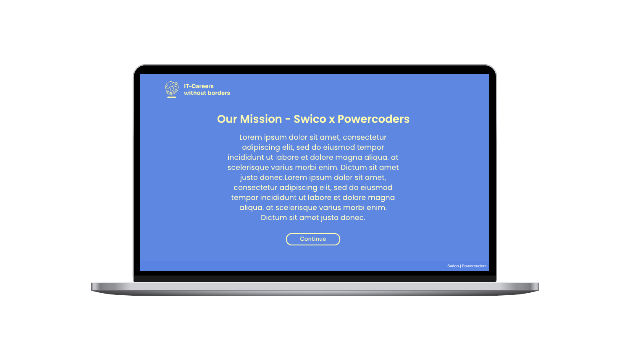## Our Mission - Swico <sup>x</sup> Powercoders

Lorem ipsum dolor sit amet, consectetur adipiscing elit, sed do eiusmod tempor incididunt ut labore et dolore magna aliqua. at scelerisque varius morbi enim. Dictum sit amet justo donec.Lorem ipsum dolor sit amet, consectetur adipiscing elit, sed do eiusmod tempor incididunt ut labore et dolore magna aliqua. at scelerisque varius morbi enim. Dictum sit amet justo donec.



**IT-Careers without borders**

Continue

Swico | Powercoders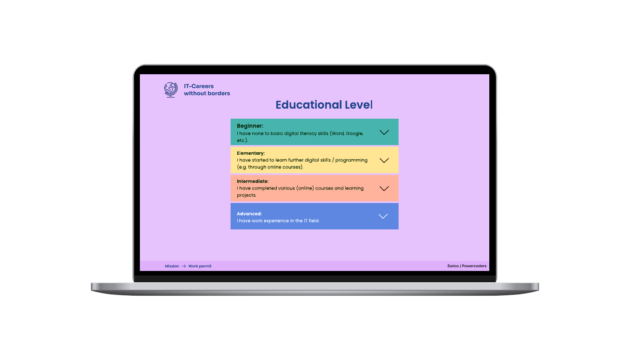| <b>Educational Level</b>                                                                                             |              |  |
|----------------------------------------------------------------------------------------------------------------------|--------------|--|
| <b>Beginner:</b><br>I have none to basic digital literacy skills (Word, Google,<br>$etc.$ ).                         | $\checkmark$ |  |
| <b>Elementary:</b><br>I have started to learn further digital skills / programming<br>(e.g. through online courses). | $\sqrt{}$    |  |
| Intermediate:<br>I have completed various (online) courses and learning<br>projects.                                 | $\bigvee$    |  |
| <b>Advanced:</b><br>I have work experience in the IT field.                                                          | $\searrow$   |  |
|                                                                                                                      |              |  |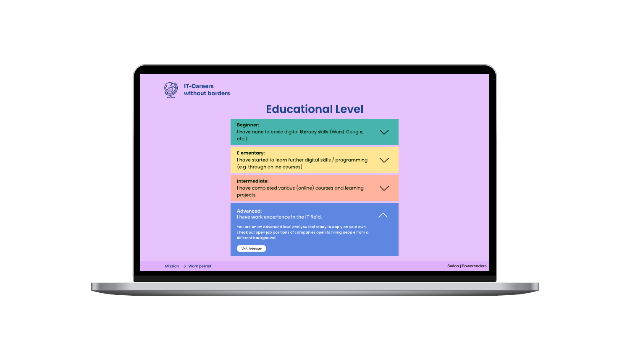| <b>Educational Level</b>                                                                                                                                                                                                                                |            |  |
|---------------------------------------------------------------------------------------------------------------------------------------------------------------------------------------------------------------------------------------------------------|------------|--|
| <b>Beginner:</b><br>I have none to basic digital literacy skills (Word, Google,<br>$etc.$ ).                                                                                                                                                            | $\searrow$ |  |
| <b>Elementary:</b><br>I have started to learn further digital skills / programming $\sqrt{}$<br>(e.g. through online courses).                                                                                                                          |            |  |
| Intermediate:<br>I have completed various (online) courses and learning<br>projects.                                                                                                                                                                    | $\searrow$ |  |
| <b>Advanced:</b><br>I have work experience in the IT field.<br>You are on an advanced level and you feel ready to apply on your own,<br>check out open job positions of companies open to hiring people from a<br>different background<br>Visit Jobpage |            |  |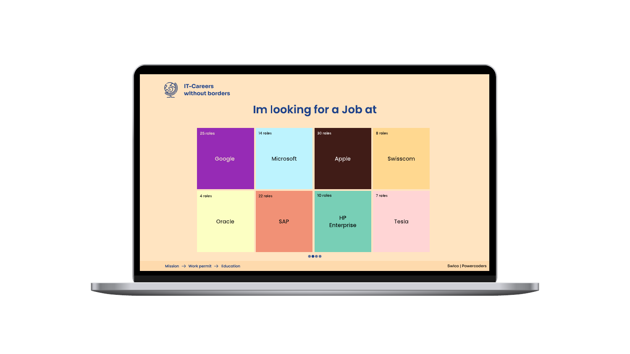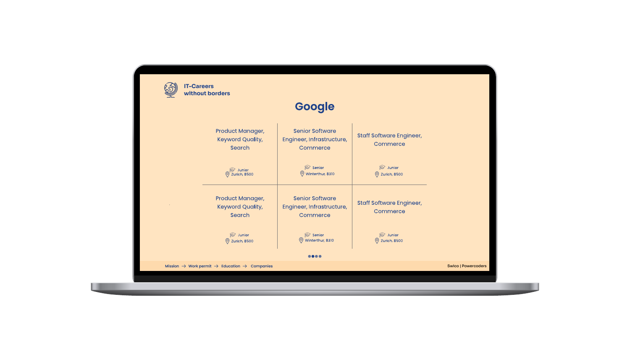|                                                       | Google                                                          |                                             |  |
|-------------------------------------------------------|-----------------------------------------------------------------|---------------------------------------------|--|
| Product Manager,<br><b>Keyword Quality,</b><br>Search | <b>Senior Software</b><br>Engineer, Infrastructure,<br>Commerce | <b>Staff Software Engineer,</b><br>Commerce |  |
| Junior<br>2 Zurich, 8500                              | Senior<br>Winterthur, 8310                                      | Junior<br><b>Q</b> Zurich, 8500             |  |
| Product Manager,<br><b>Keyword Quality,</b><br>Search | <b>Senior Software</b><br>Engineer, Infrastructure,<br>Commerce | <b>Staff Software Engineer,</b><br>Commerce |  |
| <b>S</b> Junior<br><b>Q</b> Zurich, 8500              | Senior<br>Winterthur, 8310                                      | <b>S</b> Junior<br><b>Q</b> Zurich, 8500    |  |
|                                                       |                                                                 |                                             |  |